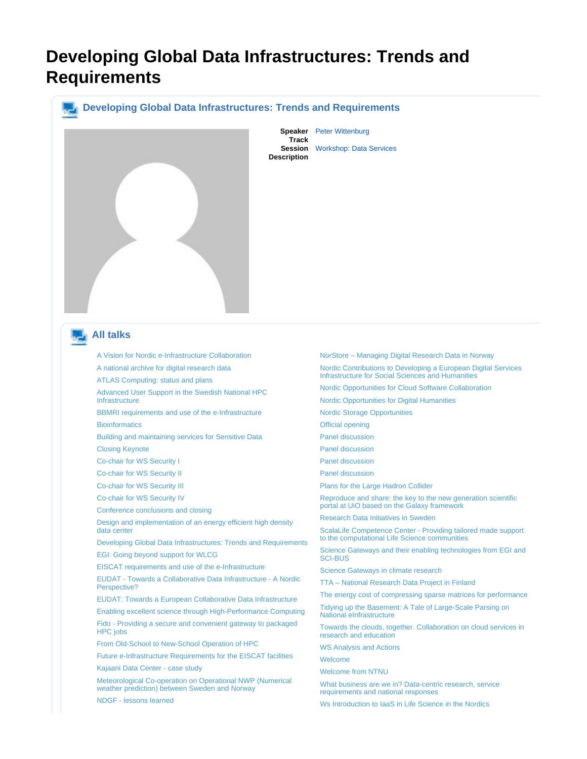## <span id="page-0-0"></span>**Developing Global Data Infrastructures: Trends and Requirements**

## **Developing Global Data Infrastructures: Trends and Requirements**



**Speaker** [Peter Wittenburg](https://events.nordu.net/display/NEIC13/Peter+Wittenburg) **Track Session** [Workshop: Data Services](https://events.nordu.net/display/NEIC13/Workshop%3A+Data+Services) **Description**

## **All talks**

[A Vision for Nordic e-Infrastructure Collaboration](https://events.nordu.net/display/NEIC13/A+Vision+for+Nordic+e-Infrastructure+Collaboration)

[A national archive for digital research data](https://events.nordu.net/display/NEIC13/A+national+archive+for+digital+research+data)

[ATLAS Computing: status and plans](https://events.nordu.net/display/NEIC13/ATLAS+Computing%3A+status+and+plans+-+2)

[Advanced User Support in the Swedish National HPC](https://events.nordu.net/display/NEIC13/Advanced+User+Support+in+the+Swedish+National+HPC+Infrastructure)  [Infrastructure](https://events.nordu.net/display/NEIC13/Advanced+User+Support+in+the+Swedish+National+HPC+Infrastructure)

[BBMRI requirements and use of the e-Infrastructure](https://events.nordu.net/display/NEIC13/BBMRI+requirements+and+use+of+the+e-Infrastructure) **[Bioinformatics](https://events.nordu.net/pages/viewpage.action?pageId=3604669)** 

[Building and maintaining services for Sensitive Data](https://events.nordu.net/display/NEIC13/Building+and+maintaining+services+for+Sensitive+Data) [Closing Keynote](https://events.nordu.net/display/NEIC13/Closing+Keynote)

[Co-chair for WS Security I](https://events.nordu.net/display/NEIC13/Co-chair+for++WS+Security+I)

[Co-chair for WS Security II](https://events.nordu.net/display/NEIC13/Co-chair+for++WS+Security+II)

[Co-chair for WS Security III](https://events.nordu.net/display/NEIC13/Co-chair+for++WS+Security+III)

[Co-chair for WS Security IV](https://events.nordu.net/display/NEIC13/Co-chair+for++WS+Security+IV)

[Conference conclusions and closing](https://events.nordu.net/display/NEIC13/Conference+conclusions+and+closing)

[Design and implementation of an energy efficient high density](https://events.nordu.net/display/NEIC13/Design+and+implementation+of+an+energy+efficient+high+density+data+center)  [data center](https://events.nordu.net/display/NEIC13/Design+and+implementation+of+an+energy+efficient+high+density+data+center)

[Developing Global Data Infrastructures: Trends and Requirements](#page-0-0) [EGI: Going beyond support for WLCG](https://events.nordu.net/display/NEIC13/EGI%3A+Going+beyond+support+for+WLCG)

[EISCAT requirements and use of the e-Infrastructure](https://events.nordu.net/display/NEIC13/EISCAT+requirements+and+use+of+the+e-Infrastructure)

[EUDAT - Towards a Collaborative Data Infrastructure - A Nordic](https://events.nordu.net/pages/viewpage.action?pageId=3604692)  [Perspective?](https://events.nordu.net/pages/viewpage.action?pageId=3604692)

[EUDAT: Towards a European Collaborative Data Infrastructure](https://events.nordu.net/display/NEIC13/EUDAT%3A+Towards+a+European+Collaborative+Data+Infrastructure)

[Enabling excellent science through High-Performance Computing](https://events.nordu.net/display/NEIC13/Enabling+excellent+science+through+High-Performance+Computing) [Fido - Providing a secure and convenient gateway to packaged](https://events.nordu.net/display/NEIC13/Fido+-+Providing+a+secure+and+convenient+gateway+to+packaged+HPC+jobs)  [HPC jobs](https://events.nordu.net/display/NEIC13/Fido+-+Providing+a+secure+and+convenient+gateway+to+packaged+HPC+jobs)

[From Old-School to New-School Operation of HPC](https://events.nordu.net/display/NEIC13/From+Old-School+to+New-School+Operation+of+HPC)

[Future e-Infrastructure Requirements for the EISCAT facilities](https://events.nordu.net/display/NEIC13/Future+e-Infrastructure+Requirements+for+the+EISCAT+facilities)

[Kajaani Data Center - case study](https://events.nordu.net/display/NEIC13/Kajaani+Data+Center+-+case+study)

[Meteorological Co-operation on Operational NWP \(Numerical](https://events.nordu.net/display/NEIC13/Meteorological+Co-operation+on+Operational+NWP+%28Numerical+weather+prediction%29+between+Sweden+and+Norway)  [weather prediction\) between Sweden and Norway](https://events.nordu.net/display/NEIC13/Meteorological+Co-operation+on+Operational+NWP+%28Numerical+weather+prediction%29+between+Sweden+and+Norway)

[NDGF - lessons learned](https://events.nordu.net/display/NEIC13/NDGF+-+lessons+learned)

[Nordic Contributions to Developing a European Digital Services](https://events.nordu.net/display/NEIC13/Nordic+Contributions+to+Developing+a+European+Digital+Services+Infrastructure+for+Social+Sciences+and+Humanities)  [Nordic Opportunities for Cloud Software Collaboration](https://events.nordu.net/display/NEIC13/Nordic+Opportunities+for+Cloud+Software+Collaboration) [Nordic Opportunities for Digital Humanities](https://events.nordu.net/display/NEIC13/Nordic+Opportunities+for+Digital+Humanities) [Nordic Storage Opportunities](https://events.nordu.net/display/NEIC13/Nordic+Storage+Opportunities) [Official opening](https://events.nordu.net/display/NEIC13/Official+opening) [Panel discussion](https://events.nordu.net/display/NEIC13/Panel+discussion) [Panel discussion](https://events.nordu.net/pages/viewpage.action?pageId=3604690) [Panel discussion](https://events.nordu.net/display/NEIC13/Panel+discussion+-+2) [Panel discussion](https://events.nordu.net/display/NEIC13/Panel+discussion+-+3) [Plans for the Large Hadron Collider](https://events.nordu.net/display/NEIC13/Plans+for+the+Large+Hadron+Collider) [Reproduce and share: the key to the new generation scientific](https://events.nordu.net/display/NEIC13/Reproduce+and+share%3A+the+key+to+the+new+generation+scientific+portal+at+UiO+based+on+the+Galaxy+framework)  [Research Data Initiatives in Sweden](https://events.nordu.net/display/NEIC13/Research+Data+Initiatives+in+Sweden) [ScalaLife Competence Center - Providing tailored made support](https://events.nordu.net/display/NEIC13/ScalaLife+Competence+Center+-+Providing+tailored+made+support+to+the+computational+Life+Science+communities)  [Science Gateways and their enabling technologies from EGI and](https://events.nordu.net/display/NEIC13/Science+Gateways+and+their+enabling+technologies+from+EGI+and+SCI-BUS+)  [Science Gateways in climate research](https://events.nordu.net/display/NEIC13/Science+Gateways+in+climate+research) [TTA – National Research Data Project in Finland](https://events.nordu.net/pages/viewpage.action?pageId=5111876) [The energy cost of compressing sparse matrices for performance](https://events.nordu.net/display/NEIC13/The+energy+cost+of+compressing+sparse+matrices+for+performance)

[Tidying up the Basement: A Tale of Large-Scale Parsing on](https://events.nordu.net/display/NEIC13/Tidying+up+the+Basement%3A+A+Tale+of+Large-Scale+Parsing+on+National+eInfrastructure)  [National eInfrastructure](https://events.nordu.net/display/NEIC13/Tidying+up+the+Basement%3A+A+Tale+of+Large-Scale+Parsing+on+National+eInfrastructure)

[Towards the clouds, together. Collaboration on cloud services in](https://events.nordu.net/display/NEIC13/Towards+the+clouds%2C+together.+Collaboration+on+cloud+services+in+research+and+education)  [research and education](https://events.nordu.net/display/NEIC13/Towards+the+clouds%2C+together.+Collaboration+on+cloud+services+in+research+and+education)

[WS Analysis and Actions](https://events.nordu.net/display/NEIC13/WS+Analysis+and+Actions)

**[Welcome](https://events.nordu.net/display/NEIC13/Welcome+-+2)** 

[Welcome from NTNU](https://events.nordu.net/display/NEIC13/Welcome+from+NTNU)

[What business are we in? Data-centric research, service](https://events.nordu.net/pages/viewpage.action?pageId=3604672)  [requirements and national responses](https://events.nordu.net/pages/viewpage.action?pageId=3604672)

[Ws Introduction to IaaS in Life Science in the Nordics](https://events.nordu.net/display/NEIC13/Ws+Introduction+to+IaaS+in+Life+Science+in+the+Nordics)

[NorStore – Managing Digital Research Data in Norway](https://events.nordu.net/pages/viewpage.action?pageId=5111878)

[Infrastructure for Social Sciences and Humanities](https://events.nordu.net/display/NEIC13/Nordic+Contributions+to+Developing+a+European+Digital+Services+Infrastructure+for+Social+Sciences+and+Humanities)

[portal at UiO based on the Galaxy framework](https://events.nordu.net/display/NEIC13/Reproduce+and+share%3A+the+key+to+the+new+generation+scientific+portal+at+UiO+based+on+the+Galaxy+framework)

[to the computational Life Science communities](https://events.nordu.net/display/NEIC13/ScalaLife+Competence+Center+-+Providing+tailored+made+support+to+the+computational+Life+Science+communities)

[SCI-BUS](https://events.nordu.net/display/NEIC13/Science+Gateways+and+their+enabling+technologies+from+EGI+and+SCI-BUS+)